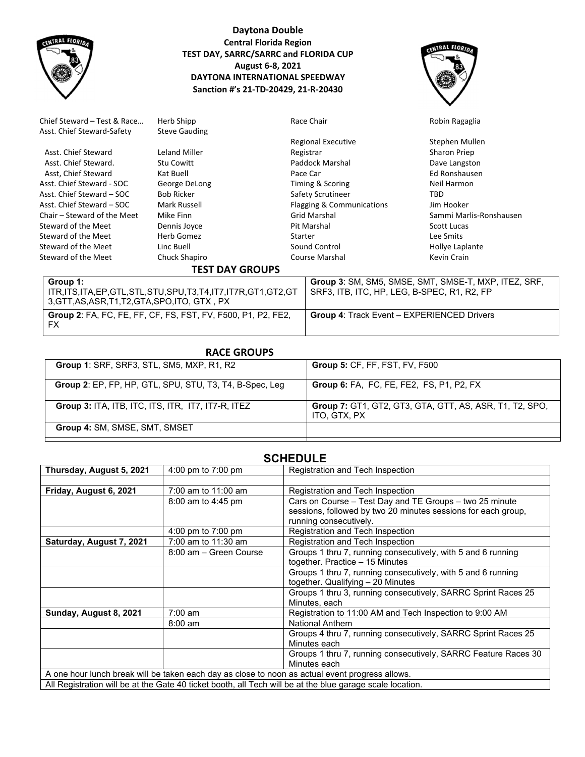

# **Daytona Double Central Florida Region TEST DAY, SARRC/SARRC and FLORIDA CUP August 6‐8, 2021 DAYTONA INTERNATIONAL SPEEDWAY Sanction #'s 21‐TD‐20429, 21‐R‐20430**



| Chief Steward - Test & Race | Herb Shipp                                               | Race Chair                          | Robin Ragaglia                                       |  |  |
|-----------------------------|----------------------------------------------------------|-------------------------------------|------------------------------------------------------|--|--|
| Asst. Chief Steward-Safety  | <b>Steve Gauding</b>                                     |                                     |                                                      |  |  |
|                             |                                                          | <b>Regional Executive</b>           | Stephen Mullen                                       |  |  |
| Asst. Chief Steward         | Leland Miller                                            | Registrar                           | Sharon Priep                                         |  |  |
| Asst. Chief Steward.        | <b>Stu Cowitt</b>                                        | Paddock Marshal                     | Dave Langston                                        |  |  |
| Asst, Chief Steward         | Kat Buell                                                | Pace Car                            | Ed Ronshausen                                        |  |  |
| Asst. Chief Steward - SOC   | George DeLong                                            | Timing & Scoring                    | Neil Harmon                                          |  |  |
| Asst. Chief Steward – SOC   | <b>Bob Ricker</b>                                        | Safety Scrutineer                   | TBD                                                  |  |  |
| Asst. Chief Steward – SOC   | Mark Russell                                             | Flagging & Communications           | Jim Hooker                                           |  |  |
| Chair – Steward of the Meet | Mike Finn                                                | <b>Grid Marshal</b>                 | Sammi Marlis-Ronshausen                              |  |  |
| Steward of the Meet         | Dennis Joyce                                             | Pit Marshal                         | Scott Lucas                                          |  |  |
| Steward of the Meet         | Herb Gomez                                               | Starter                             | Lee Smits                                            |  |  |
| Steward of the Meet         | Linc Buell                                               | Sound Control                       | Hollye Laplante                                      |  |  |
| Steward of the Meet         | Chuck Shapiro                                            | Course Marshal                      | Kevin Crain                                          |  |  |
| <b>TEST DAY GROUPS</b>      |                                                          |                                     |                                                      |  |  |
| Group 1:                    |                                                          |                                     | Group 3: SM, SM5, SMSE, SMT, SMSE-T, MXP, ITEZ, SRF, |  |  |
|                             | ITR ITS ITA FP GTL STL STLLSPLLT3 T4 IT7 IT7R GT1 GT2 GT | SRE3 ITR ITC HP LEG B-SPEC R1 R2 FP |                                                      |  |  |

| Group 1:                                                            | <sup>1</sup> Group 3: SM, SM5, SMSE, SMT, SMSE-T, MXP, ITEZ, SRF, |
|---------------------------------------------------------------------|-------------------------------------------------------------------|
| ITR,ITS,ITA,EP,GTL,STL,STU,SPU,T3,T4,IT7,IT7R,GT1,GT2,GT            | SRF3, ITB, ITC, HP, LEG, B-SPEC, R1, R2, FP                       |
| 3,GTT,AS,ASR,T1,T2,GTA,SPO,ITO, GTX , PX                            |                                                                   |
| <b>Group 2: FA, FC, FE, FF, CF, FS, FST, FV, F500, P1, P2, FE2,</b> | <b>Group 4: Track Event – EXPERIENCED Drivers</b>                 |
| FX                                                                  |                                                                   |
|                                                                     |                                                                   |

| <b>Group 5: CF, FF, FST, FV, F500</b>                                          |
|--------------------------------------------------------------------------------|
| <b>Group 6: FA, FC, FE, FE2, FS, P1, P2, FX</b>                                |
| <b>Group 7: GT1, GT2, GT3, GTA, GTT, AS, ASR, T1, T2, SPO,</b><br>ITO, GTX, PX |
|                                                                                |
|                                                                                |

# **SCHEDULE**

| Thursday, August 5, 2021                                                                                  | 4:00 pm to $7:00$ pm   | Registration and Tech Inspection                               |  |  |
|-----------------------------------------------------------------------------------------------------------|------------------------|----------------------------------------------------------------|--|--|
|                                                                                                           |                        |                                                                |  |  |
| Friday, August 6, 2021                                                                                    | 7:00 am to 11:00 am    | Registration and Tech Inspection                               |  |  |
|                                                                                                           | 8:00 am to 4:45 pm     | Cars on Course - Test Day and TE Groups - two 25 minute        |  |  |
|                                                                                                           |                        | sessions, followed by two 20 minutes sessions for each group,  |  |  |
|                                                                                                           |                        | running consecutively.                                         |  |  |
|                                                                                                           | 4:00 pm to $7:00$ pm   | Registration and Tech Inspection                               |  |  |
| Saturday, August 7, 2021                                                                                  | 7:00 am to 11:30 am    | Registration and Tech Inspection                               |  |  |
|                                                                                                           | 8:00 am - Green Course | Groups 1 thru 7, running consecutively, with 5 and 6 running   |  |  |
|                                                                                                           |                        | together. Practice - 15 Minutes                                |  |  |
|                                                                                                           |                        | Groups 1 thru 7, running consecutively, with 5 and 6 running   |  |  |
|                                                                                                           |                        | together. Qualifying - 20 Minutes                              |  |  |
|                                                                                                           |                        | Groups 1 thru 3, running consecutively, SARRC Sprint Races 25  |  |  |
|                                                                                                           |                        | Minutes, each                                                  |  |  |
| Sunday, August 8, 2021                                                                                    | $7:00 \text{ am}$      | Registration to 11:00 AM and Tech Inspection to 9:00 AM        |  |  |
|                                                                                                           | $8:00 \text{ am}$      | <b>National Anthem</b>                                         |  |  |
|                                                                                                           |                        | Groups 4 thru 7, running consecutively, SARRC Sprint Races 25  |  |  |
|                                                                                                           |                        | Minutes each                                                   |  |  |
|                                                                                                           |                        | Groups 1 thru 7, running consecutively, SARRC Feature Races 30 |  |  |
|                                                                                                           |                        | Minutes each                                                   |  |  |
| A one hour lunch break will be taken each day as close to noon as actual event progress allows.           |                        |                                                                |  |  |
| All Registration will be at the Gate 40 ticket booth, all Tech will be at the blue garage scale location. |                        |                                                                |  |  |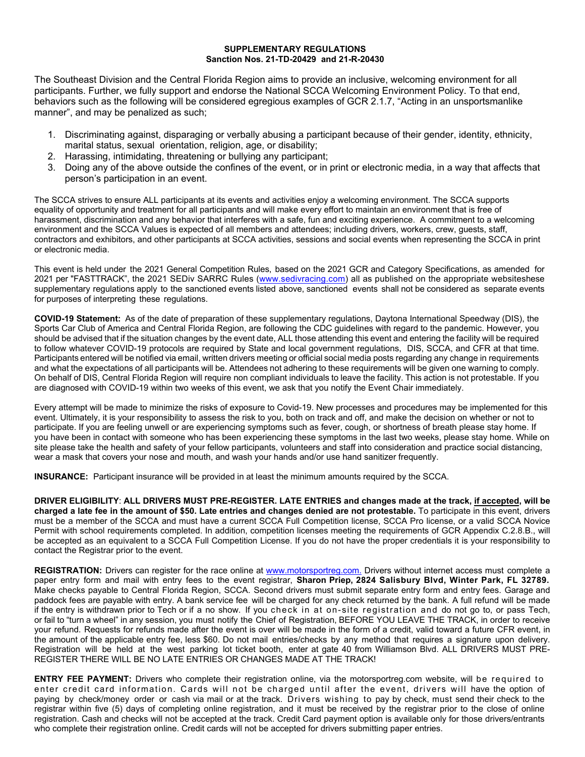### **SUPPLEMENTARY REGULATIONS Sanction Nos. 21-TD-20429 and 21-R-20430**

The Southeast Division and the Central Florida Region aims to provide an inclusive, welcoming environment for all participants. Further, we fully support and endorse the National SCCA Welcoming Environment Policy. To that end, behaviors such as the following will be considered egregious examples of GCR 2.1.7, "Acting in an unsportsmanlike manner", and may be penalized as such;

- 1. Discriminating against, disparaging or verbally abusing a participant because of their gender, identity, ethnicity, marital status, sexual orientation, religion, age, or disability;
- 2. Harassing, intimidating, threatening or bullying any participant;
- 3. Doing any of the above outside the confines of the event, or in print or electronic media, in a way that affects that person's participation in an event.

The SCCA strives to ensure ALL participants at its events and activities enjoy a welcoming environment. The SCCA supports equality of opportunity and treatment for all participants and will make every effort to maintain an environment that is free of harassment, discrimination and any behavior that interferes with a safe, fun and exciting experience. A commitment to a welcoming environment and the SCCA Values is expected of all members and attendees; including drivers, workers, crew, guests, staff, contractors and exhibitors, and other participants at SCCA activities, sessions and social events when representing the SCCA in print or electronic media.

This event is held under the 2021 General Competition Rules, based on the 2021 GCR and Category Specifications, as amended for 2021 per "FASTTRACK", the 2021 SEDiv SARRC Rules (www.sedivracing.com) all as published on the appropriate websiteshese supplementary regulations apply to the sanctioned events listed above, sanctioned events shall not be considered as separate events for purposes of interpreting these regulations.

**COVID-19 Statement:** As of the date of preparation of these supplementary regulations, Daytona International Speedway (DIS), the Sports Car Club of America and Central Florida Region, are following the CDC guidelines with regard to the pandemic. However, you should be advised that if the situation changes by the event date, ALL those attending this event and entering the facility will be required to follow whatever COVID-19 protocols are required by State and local government regulations, DIS, SCCA, and CFR at that time. Participants entered will be notified via email, written drivers meeting or official social media posts regarding any change in requirements and what the expectations of all participants will be. Attendees not adhering to these requirements will be given one warning to comply. On behalf of DIS, Central Florida Region will require non compliant individuals to leave the facility. This action is not protestable. If you are diagnosed with COVID-19 within two weeks of this event, we ask that you notify the Event Chair immediately.

Every attempt will be made to minimize the risks of exposure to Covid-19. New processes and procedures may be implemented for this event. Ultimately, it is your responsibility to assess the risk to you, both on track and off, and make the decision on whether or not to participate. If you are feeling unwell or are experiencing symptoms such as fever, cough, or shortness of breath please stay home. If you have been in contact with someone who has been experiencing these symptoms in the last two weeks, please stay home. While on site please take the health and safety of your fellow participants, volunteers and staff into consideration and practice social distancing, wear a mask that covers your nose and mouth, and wash your hands and/or use hand sanitizer frequently.

**INSURANCE:** Participant insurance will be provided in at least the minimum amounts required by the SCCA.

**DRIVER ELIGIBILITY**: **ALL DRIVERS MUST PRE-REGISTER. LATE ENTRIES and changes made at the track, if accepted, will be charged a late fee in the amount of \$50. Late entries and changes denied are not protestable.** To participate in this event, drivers must be a member of the SCCA and must have a current SCCA Full Competition license, SCCA Pro license, or a valid SCCA Novice Permit with school requirements completed. In addition, competition licenses meeting the requirements of GCR Appendix C.2.8.B., will be accepted as an equivalent to a SCCA Full Competition License. If you do not have the proper credentials it is your responsibility to contact the Registrar prior to the event.

**REGISTRATION:** Drivers can register for the race online at www.motorsportreg.com. Drivers without internet access must complete a paper entry form and mail with entry fees to the event registrar, **Sharon Priep, 2824 Salisbury Blvd, Winter Park, FL 32789.** Make checks payable to Central Florida Region, SCCA. Second drivers must submit separate entry form and entry fees. Garage and paddock fees are payable with entry. A bank service fee will be charged for any check returned by the bank. A full refund will be made if the entry is withdrawn prior to Tech or if a no show. If you check in at on-site registration and do not go to, or pass Tech, or fail to "turn a wheel" in any session, you must notify the Chief of Registration, BEFORE YOU LEAVE THE TRACK, in order to receive your refund. Requests for refunds made after the event is over will be made in the form of a credit, valid toward a future CFR event, in the amount of the applicable entry fee, less \$60. Do not mail entries/checks by any method that requires a signature upon delivery. Registration will be held at the west parking lot ticket booth, enter at gate 40 from Williamson Blvd. ALL DRIVERS MUST PRE-REGISTER THERE WILL BE NO LATE ENTRIES OR CHANGES MADE AT THE TRACK!

**ENTRY FEE PAYMENT:** Drivers who complete their registration online, via the motorsportreg.com website, will be required to enter credit card information. Cards will not be charged until after the event, drivers will have the option of paying by check/money order or cash via mail or at the track. Drivers wishing to pay by check, must send their check to the registrar within five (5) days of completing online registration, and it must be received by the registrar prior to the close of online registration. Cash and checks will not be accepted at the track. Credit Card payment option is available only for those drivers/entrants who complete their registration online. Credit cards will not be accepted for drivers submitting paper entries.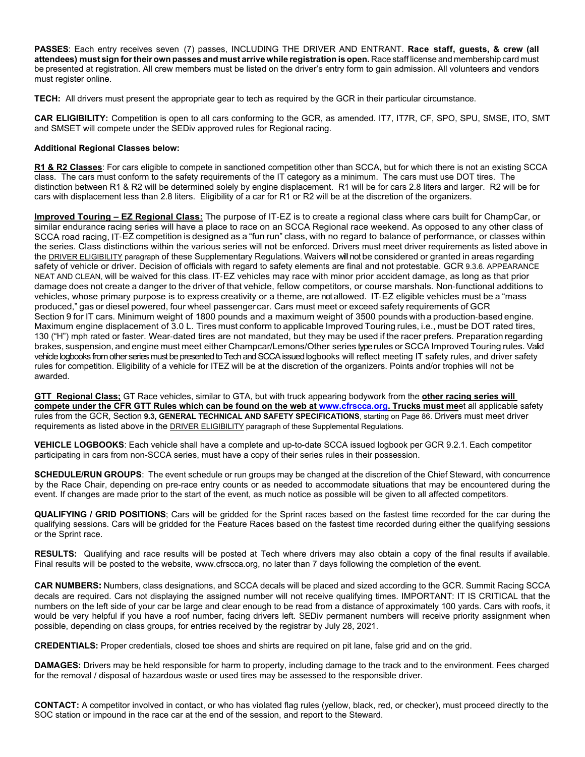**PASSES**: Each entry receives seven (7) passes, INCLUDING THE DRIVER AND ENTRANT. **Race staff, guests, & crew (all**  attendees) must sign for their own passes and must arrive while registration is open. Race staff license and membership card must be presented at registration. All crew members must be listed on the driver's entry form to gain admission. All volunteers and vendors must register online.

**TECH:** All drivers must present the appropriate gear to tech as required by the GCR in their particular circumstance.

**CAR ELIGIBILITY:** Competition is open to all cars conforming to the GCR, as amended. IT7, IT7R, CF, SPO, SPU, SMSE, ITO, SMT and SMSET will compete under the SEDiv approved rules for Regional racing.

## **Additional Regional Classes below:**

**R1 & R2 Classes**: For cars eligible to compete in sanctioned competition other than SCCA, but for which there is not an existing SCCA class. The cars must conform to the safety requirements of the IT category as a minimum. The cars must use DOT tires. The distinction between R1 & R2 will be determined solely by engine displacement. R1 will be for cars 2.8 liters and larger. R2 will be for cars with displacement less than 2.8 liters. Eligibility of a car for R1 or R2 will be at the discretion of the organizers.

**Improved Touring – EZ Regional Class:** The purpose of IT-EZ is to create a regional class where cars built for ChampCar, or similar endurance racing series will have a place to race on an SCCA Regional race weekend. As opposed to any other class of SCCA road racing, IT-EZ competition is designed as a "fun run" class, with no regard to balance of performance, or classes within the series. Class distinctions within the various series will not be enforced. Drivers must meet driver requirements as listed above in the **DRIVER ELIGIBILITY** paragraph of these Supplementary Regulations. Waivers will not be considered or granted in areas regarding safety of vehicle or driver. Decision of officials with regard to safety elements are final and not protestable. GCR 9.3.6. APPEARANCE NEAT AND CLEAN, will be waived for this class. IT-EZ vehicles may race with minor prior accident damage, as long as that prior damage does not create a danger to the driver of that vehicle, fellow competitors, or course marshals. Non-functional additions to vehicles, whose primary purpose is to express creativity or a theme, are not allowed. IT-EZ eligible vehicles must be a "mass produced," gas or diesel powered, four wheel passenger car. Cars must meet or exceed safety requirements of GCR Section 9 for IT cars. Minimum weight of 1800 pounds and a maximum weight of 3500 pounds with a production-based engine. Maximum engine displacement of 3.0 L. Tires must conform to applicable Improved Touring rules, i.e., must be DOT rated tires, 130 ("H") mph rated or faster. Wear-dated tires are not mandated, but they may be used if the racer prefers. Preparation regarding brakes, suspension, and engine must meet either Champcar/Lemons/Other series type rules or SCCA Improved Touring rules. Valid vehicle logbooks from other series must be presented to Tech and SCCA issued logbooks will reflect meeting IT safety rules, and driver safety rules for competition. Eligibility of a vehicle for ITEZ will be at the discretion of the organizers. Points and/or trophies will not be awarded.

**GTT Regional Class;** GT Race vehicles, similar to GTA, but with truck appearing bodywork from the **other racing series will compete under the CFR GTT Rules which can be found on the web at www.cfrscca.org. Trucks must me**et all applicable safety rules from the GCR, Section **9.3, GENERAL TECHNICAL AND SAFETY SPECIFICATIONS**, starting on Page 86. Drivers must meet driver requirements as listed above in the **DRIVER ELIGIBILITY** paragraph of these Supplemental Regulations.

**VEHICLE LOGBOOKS**: Each vehicle shall have a complete and up-to-date SCCA issued logbook per GCR 9.2.1. Each competitor participating in cars from non-SCCA series, must have a copy of their series rules in their possession.

**SCHEDULE/RUN GROUPS**: The event schedule or run groups may be changed at the discretion of the Chief Steward, with concurrence by the Race Chair, depending on pre-race entry counts or as needed to accommodate situations that may be encountered during the event. If changes are made prior to the start of the event, as much notice as possible will be given to all affected competitors.

**QUALIFYING / GRID POSITIONS**; Cars will be gridded for the Sprint races based on the fastest time recorded for the car during the qualifying sessions. Cars will be gridded for the Feature Races based on the fastest time recorded during either the qualifying sessions or the Sprint race.

**RESULTS:** Qualifying and race results will be posted at Tech where drivers may also obtain a copy of the final results if available. Final results will be posted to the website, www.cfrscca.org, no later than 7 days following the completion of the event.

**CAR NUMBERS:** Numbers, class designations, and SCCA decals will be placed and sized according to the GCR. Summit Racing SCCA decals are required. Cars not displaying the assigned number will not receive qualifying times. IMPORTANT: IT IS CRITICAL that the numbers on the left side of your car be large and clear enough to be read from a distance of approximately 100 yards. Cars with roofs, it would be very helpful if you have a roof number, facing drivers left. SEDiv permanent numbers will receive priority assignment when possible, depending on class groups, for entries received by the registrar by July 28, 2021.

**CREDENTIALS:** Proper credentials, closed toe shoes and shirts are required on pit lane, false grid and on the grid.

**DAMAGES:** Drivers may be held responsible for harm to property, including damage to the track and to the environment. Fees charged for the removal / disposal of hazardous waste or used tires may be assessed to the responsible driver.

**CONTACT:** A competitor involved in contact, or who has violated flag rules (yellow, black, red, or checker), must proceed directly to the SOC station or impound in the race car at the end of the session, and report to the Steward.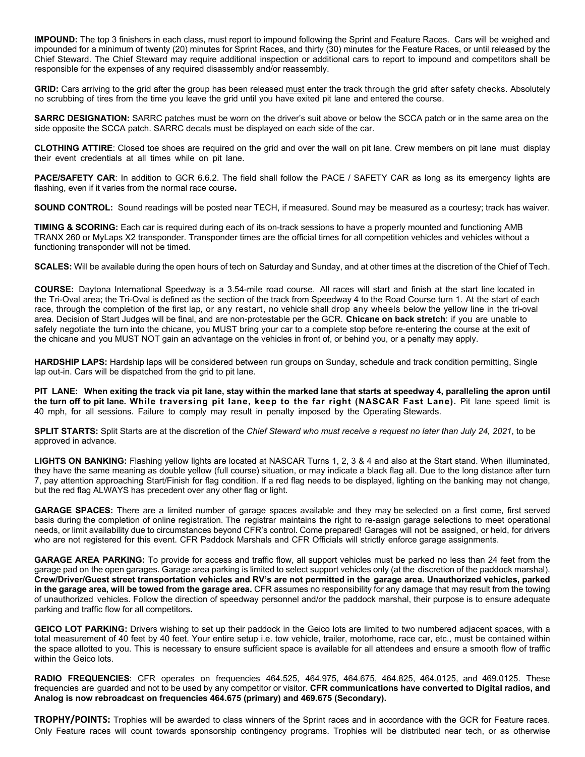**IMPOUND:** The top 3 finishers in each class**,** must report to impound following the Sprint and Feature Races. Cars will be weighed and impounded for a minimum of twenty (20) minutes for Sprint Races, and thirty (30) minutes for the Feature Races, or until released by the Chief Steward. The Chief Steward may require additional inspection or additional cars to report to impound and competitors shall be responsible for the expenses of any required disassembly and/or reassembly.

**GRID:** Cars arriving to the grid after the group has been released must enter the track through the grid after safety checks. Absolutely no scrubbing of tires from the time you leave the grid until you have exited pit lane and entered the course.

**SARRC DESIGNATION:** SARRC patches must be worn on the driver's suit above or below the SCCA patch or in the same area on the side opposite the SCCA patch. SARRC decals must be displayed on each side of the car.

**CLOTHING ATTIRE**: Closed toe shoes are required on the grid and over the wall on pit lane. Crew members on pit lane must display their event credentials at all times while on pit lane.

**PACE/SAFETY CAR**: In addition to GCR 6.6.2. The field shall follow the PACE / SAFETY CAR as long as its emergency lights are flashing, even if it varies from the normal race course**.**

**SOUND CONTROL:** Sound readings will be posted near TECH, if measured. Sound may be measured as a courtesy; track has waiver.

**TIMING & SCORING:** Each car is required during each of its on-track sessions to have a properly mounted and functioning AMB TRANX 260 or MyLaps X2 transponder. Transponder times are the official times for all competition vehicles and vehicles without a functioning transponder will not be timed.

**SCALES:** Will be available during the open hours of tech on Saturday and Sunday, and at other times at the discretion of the Chief of Tech.

**COURSE:** Daytona International Speedway is a 3.54-mile road course. All races will start and finish at the start line located in the Tri-Oval area; the Tri-Oval is defined as the section of the track from Speedway 4 to the Road Course turn 1. At the start of each race, through the completion of the first lap, or any restart, no vehicle shall drop any wheels below the yellow line in the tri-oval area. Decision of Start Judges will be final, and are non-protestable per the GCR. **Chicane on back stretch**: if you are unable to safely negotiate the turn into the chicane, you MUST bring your car to a complete stop before re-entering the course at the exit of the chicane and you MUST NOT gain an advantage on the vehicles in front of, or behind you, or a penalty may apply.

**HARDSHIP LAPS:** Hardship laps will be considered between run groups on Sunday, schedule and track condition permitting, Single lap out-in. Cars will be dispatched from the grid to pit lane.

**PIT LANE: When exiting the track via pit lane, stay within the marked lane that starts at speedway 4, paralleling the apron until the turn off to pit lane. While traversing pit lane, keep to the far right (NASCAR Fast Lane).** Pit lane speed limit is 40 mph, for all sessions. Failure to comply may result in penalty imposed by the Operating Stewards.

**SPLIT STARTS:** Split Starts are at the discretion of the *Chief Steward who must receive a request no later than July 24, 2021*, to be approved in advance.

**LIGHTS ON BANKING:** Flashing yellow lights are located at NASCAR Turns 1, 2, 3 & 4 and also at the Start stand. When illuminated, they have the same meaning as double yellow (full course) situation, or may indicate a black flag all. Due to the long distance after turn 7, pay attention approaching Start/Finish for flag condition. If a red flag needs to be displayed, lighting on the banking may not change, but the red flag ALWAYS has precedent over any other flag or light.

**GARAGE SPACES:** There are a limited number of garage spaces available and they may be selected on a first come, first served basis during the completion of online registration. The registrar maintains the right to re-assign garage selections to meet operational needs, or limit availability due to circumstances beyond CFR's control. Come prepared! Garages will not be assigned, or held, for drivers who are not registered for this event. CFR Paddock Marshals and CFR Officials will strictly enforce garage assignments.

**GARAGE AREA PARKING:** To provide for access and traffic flow, all support vehicles must be parked no less than 24 feet from the garage pad on the open garages. Garage area parking is limited to select support vehicles only (at the discretion of the paddock marshal). **Crew/Driver/Guest street transportation vehicles and RV's are not permitted in the garage area. Unauthorized vehicles, parked in the garage area, will be towed from the garage area.** CFR assumes no responsibility for any damage that may result from the towing of unauthorized vehicles. Follow the direction of speedway personnel and/or the paddock marshal, their purpose is to ensure adequate parking and traffic flow for all competitors**.** 

**GEICO LOT PARKING:** Drivers wishing to set up their paddock in the Geico lots are limited to two numbered adjacent spaces, with a total measurement of 40 feet by 40 feet. Your entire setup i.e. tow vehicle, trailer, motorhome, race car, etc., must be contained within the space allotted to you. This is necessary to ensure sufficient space is available for all attendees and ensure a smooth flow of traffic within the Geico lots.

**RADIO FREQUENCIES**: CFR operates on frequencies 464.525, 464.975, 464.675, 464.825, 464.0125, and 469.0125. These frequencies are guarded and not to be used by any competitor or visitor. **CFR communications have converted to Digital radios, and Analog is now rebroadcast on frequencies 464.675 (primary) and 469.675 (Secondary).** 

**TROPHY/POINTS:** Trophies will be awarded to class winners of the Sprint races and in accordance with the GCR for Feature races. Only Feature races will count towards sponsorship contingency programs. Trophies will be distributed near tech, or as otherwise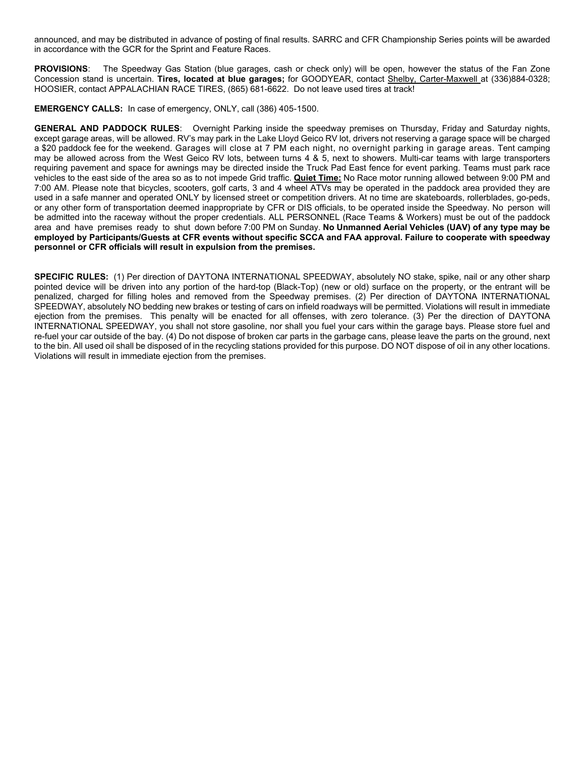announced, and may be distributed in advance of posting of final results. SARRC and CFR Championship Series points will be awarded in accordance with the GCR for the Sprint and Feature Races.

**PROVISIONS**: The Speedway Gas Station (blue garages, cash or check only) will be open, however the status of the Fan Zone Concession stand is uncertain. **Tires, located at blue garages;** for GOODYEAR, contact Shelby, Carter-Maxwell at (336)884-0328; HOOSIER, contact APPALACHIAN RACE TIRES, (865) 681-6622. Do not leave used tires at track!

**EMERGENCY CALLS:** In case of emergency, ONLY, call (386) 405-1500.

**GENERAL AND PADDOCK RULES**: Overnight Parking inside the speedway premises on Thursday, Friday and Saturday nights, except garage areas, will be allowed. RV's may park in the Lake Lloyd Geico RV lot, drivers not reserving a garage space will be charged a \$20 paddock fee for the weekend. Garages will close at 7 PM each night, no overnight parking in garage areas. Tent camping may be allowed across from the West Geico RV lots, between turns 4 & 5, next to showers. Multi-car teams with large transporters requiring pavement and space for awnings may be directed inside the Truck Pad East fence for event parking. Teams must park race vehicles to the east side of the area so as to not impede Grid traffic. **Quiet Time:** No Race motor running allowed between 9:00 PM and 7:00 AM. Please note that bicycles, scooters, golf carts, 3 and 4 wheel ATVs may be operated in the paddock area provided they are used in a safe manner and operated ONLY by licensed street or competition drivers. At no time are skateboards, rollerblades, go-peds, or any other form of transportation deemed inappropriate by CFR or DIS officials, to be operated inside the Speedway. No person will be admitted into the raceway without the proper credentials. ALL PERSONNEL (Race Teams & Workers) must be out of the paddock area and have premises ready to shut down before 7:00 PM on Sunday. **No Unmanned Aerial Vehicles (UAV) of any type may be employed by Participants/Guests at CFR events without specific SCCA and FAA approval. Failure to cooperate with speedway personnel or CFR officials will result in expulsion from the premises.**

**SPECIFIC RULES:** (1) Per direction of DAYTONA INTERNATIONAL SPEEDWAY, absolutely NO stake, spike, nail or any other sharp pointed device will be driven into any portion of the hard-top (Black-Top) (new or old) surface on the property, or the entrant will be penalized, charged for filling holes and removed from the Speedway premises. (2) Per direction of DAYTONA INTERNATIONAL SPEEDWAY, absolutely NO bedding new brakes or testing of cars on infield roadways will be permitted. Violations will result in immediate ejection from the premises. This penalty will be enacted for all offenses, with zero tolerance. (3) Per the direction of DAYTONA INTERNATIONAL SPEEDWAY, you shall not store gasoline, nor shall you fuel your cars within the garage bays. Please store fuel and re-fuel your car outside of the bay. (4) Do not dispose of broken car parts in the garbage cans, please leave the parts on the ground, next to the bin. All used oil shall be disposed of in the recycling stations provided for this purpose. DO NOT dispose of oil in any other locations. Violations will result in immediate ejection from the premises.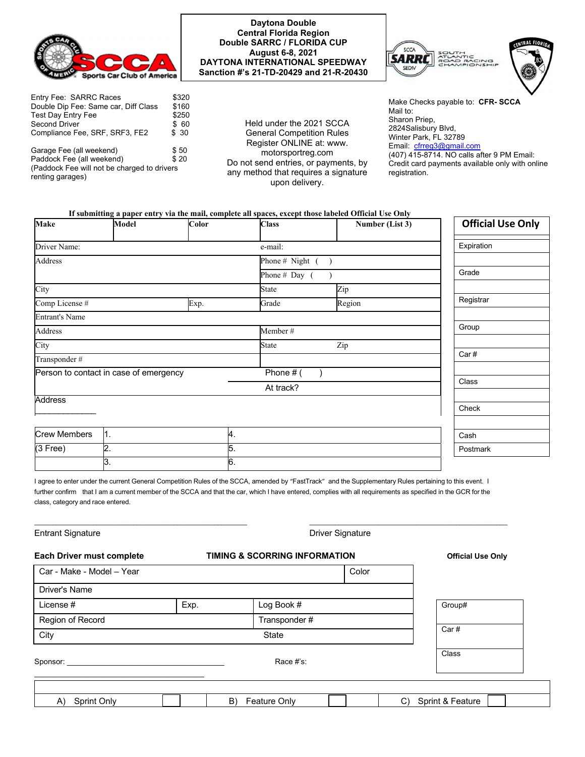

| Entry Fee: SARRC Races                      | \$320 |  |  |  |
|---------------------------------------------|-------|--|--|--|
| Double Dip Fee: Same car, Diff Class        | \$160 |  |  |  |
| <b>Test Day Entry Fee</b>                   | \$250 |  |  |  |
| Second Driver                               | \$60  |  |  |  |
| Compliance Fee, SRF, SRF3, FE2              | \$30  |  |  |  |
| Garage Fee (all weekend)                    | \$50  |  |  |  |
| Paddock Fee (all weekend)                   | \$20  |  |  |  |
| (Paddock Fee will not be charged to drivers |       |  |  |  |
| renting garages)                            |       |  |  |  |

### **Daytona Double Central Florida Region Double SARRC / FLORIDA CUP August 6-8, 2021 DAYTONA INTERNATIONAL SPEEDWAY Sanction #'s 21-TD-20429 and 21-R-20430**

Held under the 2021 SCCA General Competition Rules Register ONLINE at: www. motorsportreg.com Do not send entries, or payments, by any method that requires a signature upon delivery.



Make Checks payable to: **CFR- SCCA** Mail to: Sharon Priep, 2824Salisbury Blvd, Winter Park, FL 32789 Email: cfrreg3@gmail.com (407) 415-8714. NO calls after 9 PM Email: Credit card payments available only with online registration.

#### **If submitting a paper entry via the mail, complete all spaces, except those labeled Official Use Only**

| <b>Make</b>                            | <b>Model</b>     | Color       | <b>Class</b>        | Number (List 3) | <b>Official Use Only</b> |
|----------------------------------------|------------------|-------------|---------------------|-----------------|--------------------------|
| Driver Name:                           |                  |             | e-mail:             |                 | Expiration               |
| Address                                |                  |             | Phone # Night $($ ) |                 |                          |
|                                        |                  |             | Phone # Day $($     |                 | Grade                    |
| City                                   |                  |             | State               | Zip             |                          |
| Comp License #                         |                  | Exp.        | Grade               | Region          | Registrar                |
| <b>Entrant's Name</b>                  |                  |             |                     |                 |                          |
| <b>Address</b>                         |                  |             | Member#             |                 | Group                    |
| City                                   |                  |             | State               | Zip             |                          |
| Transponder#                           |                  |             |                     |                 | Car#                     |
| Person to contact in case of emergency |                  | Phone $#$ ( |                     |                 |                          |
|                                        |                  |             | At track?           |                 | Class                    |
| <b>Address</b>                         |                  |             |                     |                 |                          |
|                                        |                  |             |                     |                 | Check                    |
| <b>Crew Members</b>                    | $\vert 1 \vert$  | 4.          |                     |                 |                          |
|                                        |                  |             |                     |                 | Cash                     |
| $(3$ Free)                             | $\overline{2}$ . | 5.          |                     |                 | Postmark                 |
|                                        | 3.               | 6.          |                     |                 |                          |

I agree to enter under the current General Competition Rules of the SCCA, amended by "FastTrack" and the Supplementary Rules pertaining to this event. I further confirm that I am a current member of the SCCA and that the car, which I have entered, complies with all requirements as specified in the GCR for the class, category and race entered.

 $\_$  , and the state of the state of the state of the state of the state of the state of the state of the state of the state of the state of the state of the state of the state of the state of the state of the state of the

| <b>Entrant Signature</b>  |                                          |                    |                          |                        |
|---------------------------|------------------------------------------|--------------------|--------------------------|------------------------|
| Each Driver must complete | <b>TIMING &amp; SCORRING INFORMATION</b> |                    | <b>Official Use Only</b> |                        |
| Car - Make - Model - Year |                                          |                    | Color                    |                        |
| Driver's Name             |                                          |                    |                          |                        |
| License #                 | Exp.                                     | Log Book #         |                          | Group#                 |
| Region of Record          |                                          | Transponder #      |                          |                        |
| City                      |                                          | <b>State</b>       |                          | Car#                   |
| Sponsor:                  |                                          | Race #'s:          |                          | Class                  |
|                           |                                          |                    |                          |                        |
| Sprint Only<br>A)         |                                          | B)<br>Feature Only |                          | Sprint & Feature<br>C) |